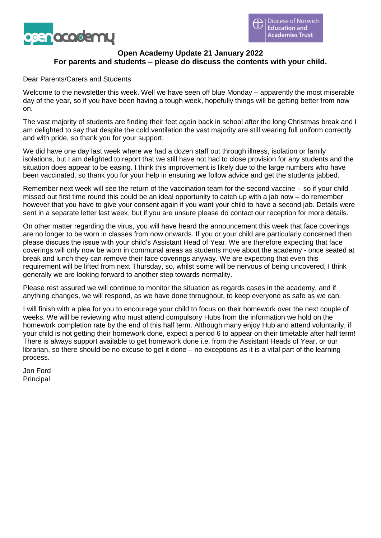

# **Open Academy Update 21 January 2022 For parents and students – please do discuss the contents with your child.**

Dear Parents/Carers and Students

Welcome to the newsletter this week. Well we have seen off blue Monday – apparently the most miserable day of the year, so if you have been having a tough week, hopefully things will be getting better from now on.

The vast majority of students are finding their feet again back in school after the long Christmas break and I am delighted to say that despite the cold ventilation the vast majority are still wearing full uniform correctly and with pride, so thank you for your support.

We did have one day last week where we had a dozen staff out through illness, isolation or family isolations, but I am delighted to report that we still have not had to close provision for any students and the situation does appear to be easing. I think this improvement is likely due to the large numbers who have been vaccinated, so thank you for your help in ensuring we follow advice and get the students jabbed.

Remember next week will see the return of the vaccination team for the second vaccine – so if your child missed out first time round this could be an ideal opportunity to catch up with a jab now – do remember however that you have to give your consent again if you want your child to have a second jab. Details were sent in a separate letter last week, but if you are unsure please do contact our reception for more details.

On other matter regarding the virus, you will have heard the announcement this week that face coverings are no longer to be worn in classes from now onwards. If you or your child are particularly concerned then please discuss the issue with your child's Assistant Head of Year. We are therefore expecting that face coverings will only now be worn in communal areas as students move about the academy - once seated at break and lunch they can remove their face coverings anyway. We are expecting that even this requirement will be lifted from next Thursday, so, whilst some will be nervous of being uncovered, I think generally we are looking forward to another step towards normality.

Please rest assured we will continue to monitor the situation as regards cases in the academy, and if anything changes, we will respond, as we have done throughout, to keep everyone as safe as we can.

I will finish with a plea for you to encourage your child to focus on their homework over the next couple of weeks. We will be reviewing who must attend compulsory Hubs from the information we hold on the homework completion rate by the end of this half term. Although many enjoy Hub and attend voluntarily, if your child is not getting their homework done, expect a period 6 to appear on their timetable after half term! There is always support available to get homework done i.e. from the Assistant Heads of Year, or our librarian, so there should be no excuse to get it done – no exceptions as it is a vital part of the learning process.

Jon Ford Principal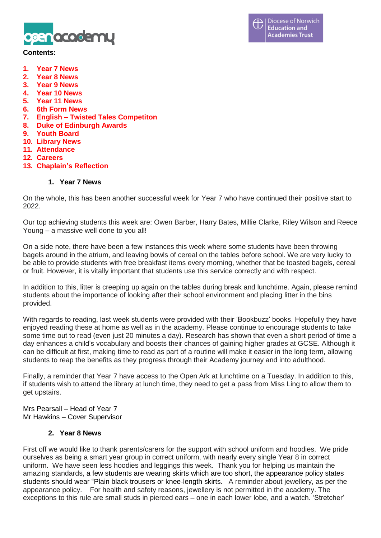

#### **Contents:**

- **1. Year 7 News**
- **2. Year 8 News**
- **3. Year 9 News**
- **4. Year 10 News**
- **5. Year 11 News**
- **6. 6th Form News**
- **7. English – Twisted Tales Competiton**
- **8. Duke of Edinburgh Awards**
- **9. Youth Board**
- **10. Library News**
- **11. Attendance**
- **12. Careers**
- **13. Chaplain's Reflection**

#### **1. Year 7 News**

On the whole, this has been another successful week for Year 7 who have continued their positive start to 2022.

Our top achieving students this week are: Owen Barber, Harry Bates, Millie Clarke, Riley Wilson and Reece Young – a massive well done to you all!

On a side note, there have been a few instances this week where some students have been throwing bagels around in the atrium, and leaving bowls of cereal on the tables before school. We are very lucky to be able to provide students with free breakfast items every morning, whether that be toasted bagels, cereal or fruit. However, it is vitally important that students use this service correctly and with respect.

In addition to this, litter is creeping up again on the tables during break and lunchtime. Again, please remind students about the importance of looking after their school environment and placing litter in the bins provided.

With regards to reading, last week students were provided with their 'Bookbuzz' books. Hopefully they have enjoyed reading these at home as well as in the academy. Please continue to encourage students to take some time out to read (even just 20 minutes a day). Research has shown that even a short period of time a day enhances a child's vocabulary and boosts their chances of gaining higher grades at GCSE. Although it can be difficult at first, making time to read as part of a routine will make it easier in the long term, allowing students to reap the benefits as they progress through their Academy journey and into adulthood.

Finally, a reminder that Year 7 have access to the Open Ark at lunchtime on a Tuesday. In addition to this, if students wish to attend the library at lunch time, they need to get a pass from Miss Ling to allow them to get upstairs.

Mrs Pearsall – Head of Year 7 Mr Hawkins – Cover Supervisor

# **2. Year 8 News**

First off we would like to thank parents/carers for the support with school uniform and hoodies. We pride ourselves as being a smart year group in correct uniform, with nearly every single Year 8 in correct uniform. We have seen less hoodies and leggings this week. Thank you for helping us maintain the amazing standards, a few students are wearing skirts which are too short, the appearance policy states students should wear "Plain black trousers or knee-length skirts. A reminder about jewellery, as per the appearance policy. For health and safety reasons, jewellery is not permitted in the academy. The exceptions to this rule are small studs in pierced ears – one in each lower lobe, and a watch. 'Stretcher'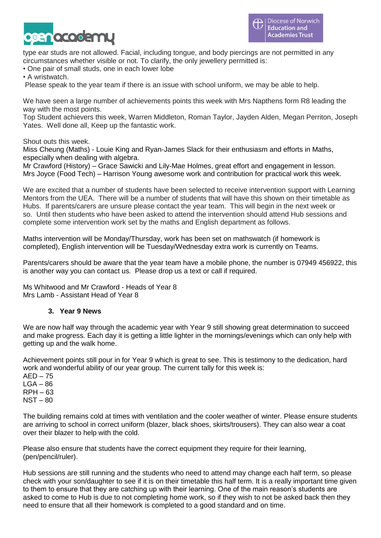

type ear studs are not allowed. Facial, including tongue, and body piercings are not permitted in any circumstances whether visible or not. To clarify, the only jewellery permitted is:

• One pair of small studs, one in each lower lobe

• A wristwatch.

Please speak to the year team if there is an issue with school uniform, we may be able to help.

We have seen a large number of achievements points this week with Mrs Napthens form R8 leading the way with the most points.

Top Student achievers this week, Warren Middleton, Roman Taylor, Jayden Alden, Megan Perriton, Joseph Yates. Well done all, Keep up the fantastic work.

Shout outs this week.

Miss Cheung (Maths) - Louie King and Ryan-James Slack for their enthusiasm and efforts in Maths, especially when dealing with algebra.

Mr Crawford (History) – Grace Sawicki and Lily-Mae Holmes, great effort and engagement in lesson. Mrs Joyce (Food Tech) – Harrison Young awesome work and contribution for practical work this week.

We are excited that a number of students have been selected to receive intervention support with Learning Mentors from the UEA. There will be a number of students that will have this shown on their timetable as Hubs. If parents/carers are unsure please contact the year team. This will begin in the next week or so. Until then students who have been asked to attend the intervention should attend Hub sessions and complete some intervention work set by the maths and English department as follows.

Maths intervention will be Monday/Thursday, work has been set on mathswatch (if homework is completed), English intervention will be Tuesday/Wednesday extra work is currently on Teams.

Parents/carers should be aware that the year team have a mobile phone, the number is 07949 456922, this is another way you can contact us. Please drop us a text or call if required.

Ms Whitwood and Mr Crawford - Heads of Year 8 Mrs Lamb - Assistant Head of Year 8

# **3. Year 9 News**

We are now half way through the academic year with Year 9 still showing great determination to succeed and make progress. Each day it is getting a little lighter in the mornings/evenings which can only help with getting up and the walk home.

Achievement points still pour in for Year 9 which is great to see. This is testimony to the dedication, hard work and wonderful ability of our year group. The current tally for this week is:

 $AED - 75$  $LGA - 86$ RPH – 63 NST – 80

The building remains cold at times with ventilation and the cooler weather of winter. Please ensure students are arriving to school in correct uniform (blazer, black shoes, skirts/trousers). They can also wear a coat over their blazer to help with the cold.

Please also ensure that students have the correct equipment they require for their learning, (pen/pencil/ruler).

Hub sessions are still running and the students who need to attend may change each half term, so please check with your son/daughter to see if it is on their timetable this half term. It is a really important time given to them to ensure that they are catching up with their learning. One of the main reason's students are asked to come to Hub is due to not completing home work, so if they wish to not be asked back then they need to ensure that all their homework is completed to a good standard and on time.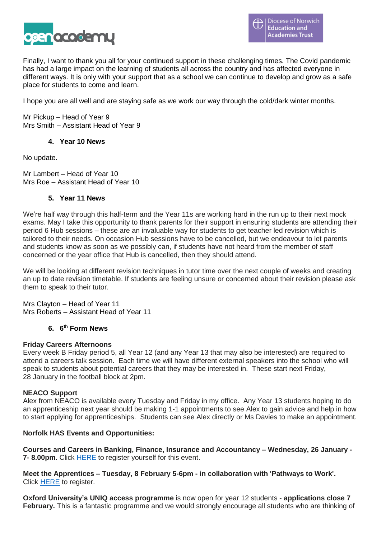

Finally, I want to thank you all for your continued support in these challenging times. The Covid pandemic has had a large impact on the learning of students all across the country and has affected everyone in different ways. It is only with your support that as a school we can continue to develop and grow as a safe place for students to come and learn.

I hope you are all well and are staying safe as we work our way through the cold/dark winter months.

Mr Pickup – Head of Year 9 Mrs Smith – Assistant Head of Year 9

#### **4. Year 10 News**

No update.

Mr Lambert – Head of Year 10 Mrs Roe – Assistant Head of Year 10

#### **5. Year 11 News**

We're half way through this half-term and the Year 11s are working hard in the run up to their next mock exams. May I take this opportunity to thank parents for their support in ensuring students are attending their period 6 Hub sessions – these are an invaluable way for students to get teacher led revision which is tailored to their needs. On occasion Hub sessions have to be cancelled, but we endeavour to let parents and students know as soon as we possibly can, if students have not heard from the member of staff concerned or the year office that Hub is cancelled, then they should attend.

We will be looking at different revision techniques in tutor time over the next couple of weeks and creating an up to date revision timetable. If students are feeling unsure or concerned about their revision please ask them to speak to their tutor.

Mrs Clayton – Head of Year 11 Mrs Roberts – Assistant Head of Year 11

#### **6. 6 th Form News**

#### **Friday Careers Afternoons**

Every week B Friday period 5, all Year 12 (and any Year 13 that may also be interested) are required to attend a careers talk session. Each time we will have different external speakers into the school who will speak to students about potential careers that they may be interested in. These start next Friday, 28 January in the football block at 2pm.

#### **NEACO Support**

Alex from NEACO is available every Tuesday and Friday in my office. Any Year 13 students hoping to do an apprenticeship next year should be making 1-1 appointments to see Alex to gain advice and help in how to start applying for apprenticeships. Students can see Alex directly or Ms Davies to make an appointment.

#### **Norfolk HAS Events and Opportunities:**

**Courses and Careers in Banking, Finance, Insurance and Accountancy – Wednesday, 26 January - 7- 8.00pm.** Click [HERE](https://www.norfolk.gov.uk/sitecore%20modules/Web/EXM/RedirectUrlPage.aspx?ec_eq=xKHP67PelViAdsgegKJQIrBjtdTM5gwDKrMMg3Z2wYYjiydUbJq9ROzxfjgkOOqGU1SspKs77bik2m3oA5jrg60YQldiQSmApqyA4AkPoimsy3o6B4jEXcLO1cNlAuNdmQMutNBm7tAVTfceqPCumHojUXidXzND6pSG5RQDoW7wiqH%2f9i%2bNfXcweUzZJX97%2b3D64nN%2fBEi3530xTLPfO7vQwSGjcep%2bcGXAxAqIsZK4FFVpLZzJCYWgp6%2fLIqq7w%2fc6d2s1RcJ3cZo9uaRS8GLhNOdOn6B7YDYsj%2fVB958%2f3tPTtoYez%2fJ9l3aFBAY3dlL%2f10d2vNaJGNtCcU2a0A%3d%3d) to register yourself for this event.

**Meet the Apprentices – Tuesday, 8 February 5-6pm - in collaboration with 'Pathways to Work'.**  Click [HERE](https://www.norfolk.gov.uk/sitecore%20modules/Web/EXM/RedirectUrlPage.aspx?ec_eq=zIqLnbwe3%2fmRWac%2b7%2fPljGtw7ahNnezr0hPFINHHPmZsjIrgBitxbR3S1sb3dklZdGFCTuu7rKcSMPYdPg%2bY7fxhXyl59W336Qj9dPVn9rek8i%2fi%2fBoP0JH0Xrd9CVx1yeHmTVjMJJQyfK%2bxib6WhT9Z0fi81E%2fQUCelyH%2f021gvggIjyEiucTG%2byh315Pd3J8FrX0eGtOHA1KI%2bNbniGOVQqwVuzeY21kgOAmDYY9jRtNdmtFUKk%2fLTgIBUM5Bt2bnpuBILJ4wO7GhKt1QeWXKAccaI%2fSHXvdVTrMrjGyOE1yVYhKXh0Wms7lDWNP6lA1ZxoHpeBLBK59biSoUv8Q%3d%3d) to register.

**Oxford University's UNIQ access programme** is now open for year 12 students - **applications close 7 February.** This is a fantastic programme and we would strongly encourage all students who are thinking of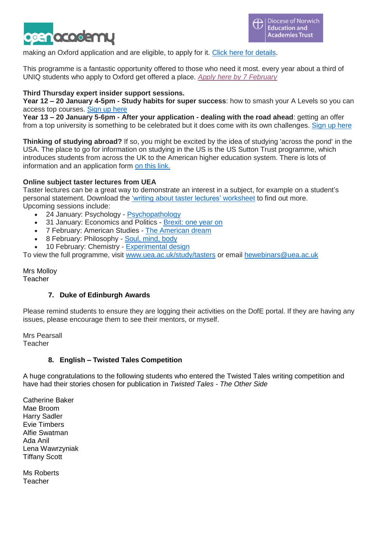

making an Oxford application and are eligible, to apply for it. Click here for [details.](https://www.norfolk.gov.uk/sitecore%20modules/Web/EXM/RedirectUrlPage.aspx?ec_eq=nKpf%2bdXqPQ5cNN%2ftuaX1v%2bt%2bKgs2XADgpD17o4%2ftMpP%2fNKZe4wIGflcVz%2fu6u5JxESEtd1RCm0Sdg37LtB8PuLCdTDAMlCP1fP%2bpZmeywwboX7L7CYUQMfsl%2bVNrvNMyBtXWOIj7ov5VTbU0%2f1CokTu335%2f78GCxOyEYeiPEtu8XTmSQOmGS1GQaJMkTe4nJ%2fW1%2f35U8deThd2KeUz38QrkBmWaW9c4XrmcWSAGWYGfzrQlrFPDAr7PLMT8UsrCDXYn%2b43TATJg9ejIuA3xE%2b6xdXyhJw4Aq0STTMoH7SQzRcpEThJ2u5F4LYMsqKTzq)

This programme is a fantastic opportunity offered to those who need it most. every year about a third of UNIQ students who apply to Oxford get offered a place. *Apply here by 7 [February](https://www.norfolk.gov.uk/sitecore%20modules/Web/EXM/RedirectUrlPage.aspx?ec_eq=Dy5lNQDnL8UaHCF6vOsWLemzelWegOFJipEpSEcsecxfX%2fU4kZH3Ks7PAOZxZfpWxkwtcw89W9mrAhhfc21DZ0ZDdQge0QTOCuOCl%2b%2bqPAQ4tFMbcpdgOrGc5en2LZQjsw1ghBnqstIkwh4nqTCjpoloJOwiiwjeSYtqXRHiNeRfgrPOFtEio8DP5bNXMidpnXOubsynMDQW4xM0fcnr2BvhXHp5V0aPyLuaL%2bl691lsb%2b7PipGAOEb1e2c2a4gwluJFfCUtNbc%2bqF5VcCI%2fuODGsM2DFEFvC7RJlbi9nk%2bQPaLFeD1JVLxAdSwnzSPy1TmufLABBLf7cqkFilhK1Q%3d%3d)*

# **Third Thursday expert insider support sessions.**

**Year 12 – 20 January 4-5pm - Study habits for super success**: how to smash your A Levels so you can access top courses. [Sign](https://www.norfolk.gov.uk/sitecore%20modules/Web/EXM/RedirectUrlPage.aspx?ec_eq=MA1yq0JNGAFmTbXLK7F3ENXSsWxgIvCoe8mbe6yEzStC7Z4y3Z3x4yw7aupl%2fZIHZazawg97ZxaD8U43YTCSDigYXn05AYunhO67Uz4kux8oWGuB22gqacKK5iMnWkWh9aN7qOQus3h%2bSz2qR%2bZ4hRDpyAhnniT69DqkdbuxLtDHtRjvlBM9WDM5M1mv5%2brUxzYl5PNXuy7PwHGuuE7VNYFb5h2BhFITpcc8Qiaoq5ewxU2hRyDn1YozB4ulK1%2bbTvbXGPe7wlAc7LLCZ1EDuUp0g4ddv4bE7Ucp8A8Uvl1gcfycSGr1MBE7TCmHlayIQPx8%2feOFvspzvfQZE1FVQA%3d%3d) up here

**Year 13 – 20 January 5-6pm - After your application - dealing with the road ahead**: getting an offer from a top university is something to be celebrated but it does come with its own challenges. Sign up [here](https://www.norfolk.gov.uk/sitecore%20modules/Web/EXM/RedirectUrlPage.aspx?ec_eq=nsR7Zl1rUH7al3FjA10pFbRAP0aCtR9cxv7LtqYw93eJsmmfLBdtETz0RJ6gjbg%2bwlH38bF85FdpcbVlMlgG5x93pZc%2fpIK2iV%2bBAZBQexQlqnRK8woy6YVdZEnUPJh8J%2fbkPnYgFgcshgVzxukcdSXf3LaD%2bKJsYsq67TKjfhIXGOgUddOd1O0qW%2fIeaRFH8KloHXqXtDWkpH3G8chmmqsieYKOwlGUUVOeEpSwDbBaTAXOg1VqxXLhuw3DVoHqY2kRh4ZXIxeLopEfgpH3Y5ZjQ9Kn%2bqQG1wwVHECfVWKGrttdQATNK7kF4apKklnd%2bcKKHgJGp0WC0Tm1kZFYjQ%3d%3d)

**Thinking of studying abroad?** If so, you might be excited by the idea of studying 'across the pond' in the USA. The place to go for information on studying in the US is the US Sutton Trust programme, which introduces students from across the UK to the American higher education system. There is lots of information and an application form on this [link.](https://www.norfolk.gov.uk/sitecore%20modules/Web/EXM/RedirectUrlPage.aspx?ec_eq=LRTGtBpwDNK7323kmlR6302MSjECU1eYhaKGFJtzatGsjMtd8FARrvrX%2bpNENJ3yMKvG7%2fP0x2chuhyqcjBGRrYjuf0iGrpzamf69wNswf0C%2bNmo4e0GN9rjB5WJ88uwdlCsGG%2bflLpANsa3mI2lbAF7rGM%2f3y97FF1I446OVdMDCkdIW9dPHQiLpyjme9b%2blV%2f68juWtMSo%2fV1WACE7HhjKXRfXwRu0ey8MCs0kqMRX0ZnS%2bUeDVIO0GFHjSdmJz9RQ1%2biT%2fmwouQWGQUYBacLPHSz%2fR5Uo3mtSzLxGOHSL4Z31BqoyvnDS06nwFqcP)

# **Online subject taster lectures from UEA**

Taster lectures can be a great way to demonstrate an interest in a subject, for example on a student's personal statement. Download the 'writing about taster lectures' [worksheet](https://www.norfolk.gov.uk/sitecore%20modules/Web/EXM/RedirectUrlPage.aspx?ec_eq=Xs7QRZYdmS%2bjKTjk55fQN1Sn5vVbfBbfUV4mX0P%2bL6E8AfQ3oZvJw%2fJBm7TMZr4fEKiPGF4Kve8MdUsqZJeXsHEP3W0COAwc%2fK7L9KZYPncRbRUPZkb3Q7vH0rsIQ205eJbhWHf2qdwZXLLZafGs5ZTnScYyqtqwA1jPOO%2bv07MwGIgduGJPofOKlNKmIR2th%2biQ2gXPOOEIQfeOeeKVNhwHjE6FjEyAWHqXqu4V6jJkwP0i1UTDcXctHyBsy1xlTbcmVBP8ZLRcqmMjHolUNnm4PKh3%2bXSoVT8xqJXfT4GnFk0%2bitMI6km7clZZc5zoLLNZX1jHjYPxvDiXKOj9qgOoskluO6nwDUXukZtwA0sZjqKEHEFqYA1V7rs7KDoKEkEOLjxQXixOoGkEdluAo3IUKUFJD3andoSsyN2HqJwaeOx1xGlPc7wx5%2f%2foYQWNjNy79qxHp6WBZBtxJYKghDD4hFwPFVRWW14g%2fxCQJZKGSEiAwSG8ie%2f%2f9OoYIOWMV3LfNZvfFoJu%2fvZoxbPdkbA7CG%2fxxPD5TBPiXA%2fvARYmrzZvESa%2fMXnQ%2b6Fks1%2f5AWIIhyWAVGOUwGIlGWsmLN23neW5amHd7PXdRXTTlZ4FtewBbTMt9%2fEED137XyT9rRVzfMsXb%2fBAg3hvL6Idqf7ldpRWNSequ4qPla4pKp0AExWCWskJs2Ox3VhAetPMj%2bIdr58Jt8VtbRqR0PCKs%2bvMl6u2vuf9rVveYEdpvSExgMhBOK9%2fgn0z4hE5RgSHD3MqdqMCJ3texuofUOvDb9CfGbacuAJjccjCknZKtWM%2frIB2wfVXiYMLa5xeBeirZylqOIVnfz5qREMQ9xrarqKQfDhKR8EDWS1sUhJZbEh%2flg16Gr7eG9rC7JtYmoz%2bMwaDVlFscfCVwMfSIgnK9nohyjXLVTLpGvZXqISynlhGqZkZWcmEDsSFytQGHfwSECrcyEtDtCD82HB3%2f5VPJRnsKMESWfAWkpbb4ncl8QOAFz%2frsBz5bu8KvDHMnMyx) to find out more. Upcoming sessions include:

- 24 January: Psychology [Psychopathology](https://www.norfolk.gov.uk/sitecore%20modules/Web/EXM/RedirectUrlPage.aspx?ec_eq=RvH1A0ldDGJCQIkJYE6B6SEXZ8UpyEAIzh%2fdfnJ5XY68OK4QjUu84W1Lmj7DIQaX2LJikTL7DzMZxE0h%2fFriR9x0XYuWqzhWv4Jgn9tnnskkxTetoZ4FYv3nZj5jzLPp6XAmKWe8cksNemsMwOyhDBRC%2bFHcDcAHopvNVL37TBEApKMGWZRGs79kIq%2bjj0LmlJ4gdrsXl9MYbKNJB%2b%2bGTerb9TiLbRQKjCYNQM00cJTIC%2b3ou6utgisQp9jxFOFiGAT1ri6an8Kp3kCo%2fVCqtjf6LbzCWQJVjt0xAptbB4hynil803Ovp9dLnnN9CSe4RSLqBTFSrf8wBz3Z%2ffsSz5n0DWgr88ACg0%2fiht%2fYgwidhsyqbakWyeGdtk35vAEwT%2bJbz%2bQ%2bRnq1nK8TBxtsvSAO2qgGW2kh7ErpgFL0sRkIL8Ns3ykIV6R8Nl%2fqqVXroj09MZL2pds1jPP97%2bXHtyWjvJg5X3rk%2fLrgctfsDplY1%2fWB7mvtdw2hNx%2ffZalbhpW0pdl9xpzYKQwQFAGePsT2p6LyzG0HPECtGWGlMAV9FoM5HTZXIhd%2bMxq7X6PKic9c%2b42NWdVrVM4zHhqqNIp7%2fsPaLI1ZDa3%2bGS%2f62QDRIDjNtkuvFcfiGKMHebUWoQyBtaHwZGS98uWw6rTfc82A%2bef4S7FU0yeOp0o5KlQrKBYRV7iXJ9xIkBuOIw9v5s%2bLdgEfWZugJTAC4g%2fsj0tgNlwxiEQdNQl%2brjlLrg5FI%2f77rO48YFF0U9emVIl6pfcH7m2P4AnDt72k7l%2fw0qDUwsTO2J7ZyErjd%2fjCguMRoK00fFriQPyGoisSbv%2bLuIAGbXrcYUCBvJMnAqADtY3Sypkfe9%2fsOeGsyScQqLl30T%2fGS9jqvArsM2hrLGdC%2b00%2fDEdqb2FtoSg8opTfMCR49jqkN5ADwk%2fLaDObbzJkinP2LNcclPfRfA3Yl0sv)
- 31 January: Economics and Politics [Brexit:](https://www.norfolk.gov.uk/sitecore%20modules/Web/EXM/RedirectUrlPage.aspx?ec_eq=qjozcTFBHigt13fHO6TewJqADSqWyb4zwfdmUrZTYevT3enOIRP5FhzhcAVH2CXOjvmveC3I0%2b7jfG9aquVXzeh099U%2fpj1tq34N%2fiPOKC1XkVp%2bDd2raCpgj3a%2b3DjkqLoXq7Hg4aeRFtPaVFCJ0Y1wa%2b30GuzUJ0MPFSZJEno6JMI2a3XxSpJNCVCW%2fJVflgPTwypcfd%2fJ5xjaaGZhXiwdLx9ODDJ5f9sfdYc%2f%2faIa5GiDKD%2bSCr7nZrQRSxEcgPf6ybfwibX3Fgy%2fYxKZSN9uJdlJl1gXMCRE%2fmISI1nZm3fCxJKB2rNEaWztStWPrPlfzDeKKsqelwmugBTSnh%2ftQ%2fv3Uq30A%2bQ5FkwReRhKGixQulDZxm%2bhBww7kCLY4B2dHbYJatMSJZPQlKYER3MGuPsGFvas1cWNjAVj69HZC6MlOmb0NtFVnY0q2yF4L9TF%2b13bke%2bWqy03jjncMmV2jM9ytyXwMUwlhkxrWr4GP4LLvgDRvxFUZkgH4gS3zZtVpYZOYi9gccecRbB%2bNDFgUm%2f4dCeyJMMrrTQ9%2bvc8eNi7VO0SbkWWL6WFsymHvZsqhUst61O9QPGEZ8vaJ81sio0CmHg9cZHEcSo4CJj3WfLf52gl7%2budFLKjwMdYCCNe6FA7aQo4Eaj0r8BQdEmlH83WYDLhNLhKtEgYS5f082viQuzUW%2fKIPp1m9K%2bU3N1Ep4F2BoGfMHd8nEikAoISjVOPdUFWAjbumXssUs5kYUd3475inIQTwL2Eu47eOe6R4dZEQZLzL92svJ3KFZy07sQP3h%2fglIvFRxN1wT%2fpOV4CpnnKXRsJEluqxFyEmG124CQx%2fHmDq9QqoAhb45Ts9Fka2rJO9X%2frtv2q%2bIKLVwgLuM%2fPD64hhx0MgOo1txh4RuPFQvko1Az%2bP3cD7hNOk9fLtjnJWsAdFKrPRLindrEm7obcMxEELE%2bEl4o7%2bUsopPPCXUdRYDylgn2pPCOt1pBhnF%2fN8LPyO1AdNBctqghG%2bLHq%2f06fBGrW%2bT4s) one year on
- 7 February: [American](https://www.norfolk.gov.uk/sitecore%20modules/Web/EXM/RedirectUrlPage.aspx?ec_eq=XIptKSOuKeNlW7BiJuR5DoSl59SSpycwbtobPc7Ecyy67uNvzaN8ohWSoeoXWjtro1ekrIFddZYj9VG2QHDu3LMQL8Eme7Syz%2btfgMflsyi5IrIcmtTVnamJZRca9y6NsyjPWCef3oqrlqIYzghi9tLN0QxuBwCOTvo3v36sBKxcitnTxZlujUHi6ciDo%2bP8nneQzTBAq6lp1zSBeLmkBeoc4KRy43i1nvHoSmiMzD%2fjHpMj03A3tvjC4IGW8pNfysa8BLif%2bbmUUypz%2bcq3HzMMmxqHlLPQ4iGRaZvInJHyOaZox6r%2f7N9VIhLPavzGfcHYvBxQf9vebO17Tl2YonpDCsQpKm4tWYhXZWTOq4X1ht54%2f%2fJ2dJtdvH9RAwr199Bg7zQoFXqXXLIq1GEdQetC9NUd%2f5kXdcSWCnTDwqcabz9O5WEdUSrn4WmzXhHZLvsp5Yh0hkPQ7Zcda4MLhUU2FI9xO4RSKAn3%2fAja7hoqoNAdo2%2fw8rYCX%2fUekVYINAEqjZ8igsQFWyMIsXMhYT9%2bu0eTceYG%2b8BEI4K7TJai%2fem23vgKFVo0x5I2KYImoGpoxHTx9K9sWpaiqEClK%2fxp7oJjcRLYfhDB%2fZOS1FnHjmU%2beOOFb2xOkp%2fmoS4bf5e9Czi3ztixu5vSK5C1Tvxf4WpXFDbtTAhbkmncYVobuF0zaJqS9vouwWOr%2birqWXZkbJnBkUdt%2bMsspmowSPJ7%2bVjHK5v3bORaIMAZymnLfM7FB4c9VaLb8ZJ%2biX6m%2fHqg66QzFDSTpAGDj1Ui9VMgf7%2bz12e%2fCwpbJeCwLSmmGJWojtobhvHPi%2bFg3OTIPY9kw2EVP8zTa%2b3w01paCuHD2EYUsVEN44ic9hJ3fxJeM3W4np4fDZKnPDvcjrhgARvbt9szOfhuNhIoi0mWeJYGDx5CLVPiGzNcQAxmqMfCgj%2fFNGI44ehy5P3L%2fsD6D%2bKYVuAivAQNdCdawR%2f3xcFsydW5JC2EFfsGWjLzE8s43jxaOr%2f%2f0mfa2NwrEV9W) Studies The American dream
- 8 February: Philosophy Soul, [mind,](https://www.norfolk.gov.uk/sitecore%20modules/Web/EXM/RedirectUrlPage.aspx?ec_eq=N%2bqZ5JANb1PKFgjYkfOfISZoFjpOr4O%2feiOZvWYTAIG9rXI%2b4qW3%2b7sFyUl17PkRJutbj3RoaEpQ4wPSGEZyySlPFu0Y2FIPYAzogrVfNV3nZofx6Ks%2bJ5ZWJKhiCbfzImDo1zIoLAC0RBGqn%2f8ogTXtheyd5v19hIw%2bxGlNl59PrqSnyQnDUlpdCz1%2fijw2cYp5KfiNgg4phbHLBrcGnhk7SWYuMwpz0vzjnVYd3Sx2xUeS8q4FBXFhZrTlewpRA2cwnh7DuHvQ%2bVA3uIWmMWgzUBzE43F5XZ3bs8qBQpB2BKD2FzoYBToJYR8F3w7iT2OVJICmKIHnGCCRF2Pf1iN4TmzZAkSOHNZiWjCQHNoKDu92afMXMR%2bKTNbrucHKl7GFx%2bjWrqD1lINYtiDrBRpQFUJ6UEWPpYuJIOs%2bR36Oon6xeeadoHJcJs2jCmajVW35eX%2fu9ymo6jZEKZEpnVYBMHiVXFs%2bdCcS9mVembn3g7nbBcFVEC%2bTCyFmWAkrqp9TlePE%2bLDnuC2wN%2fBUBumKPaWApgPtXgItmSN2VZ5Cb%2fMK%2fWewdMXm%2ffJt1snpx6tQq%2fuy19QUCvQPQnKu4kCEt98pSXN8fWHV%2bJm5M58jhN7O8smvVEVpUNeSxDJco19tIEnqYGCrCLVNqQNLi%2fdpxtRSUgYO83t39Jgp1J8%2f45kzLkXchhhsKer71XWd9XCxt1w7tofE%2bqATp1ABr3q7S1dx7LE2ns%2fewQCR3cVfVz3gknxOUqeHAhpen1YyMommEZkgqOcvN1fXuMVIBSqUk3UkSUG4fzbqf1CUGCXyN9X9Fxb9p1FA6wobNOiINnfrgaz%2fO7%2fS5yMjAlnMFZ6AhcpZLCwhQsPR5DbR94VV4RDIUWQSTdTavC43OJubN1KfUjPGxq83X2EcGKihjpOwclhLpVMDNDqhuH95ngpOMtJTW618QaY80zdNGhal) body
- 10 February: Chemistry [Experimental](https://www.norfolk.gov.uk/sitecore%20modules/Web/EXM/RedirectUrlPage.aspx?ec_eq=2S5LSiCtzGKtz07A7uO4d9vVtLRgQz636MgpyTdmFHFTzi%2f%2be7bVI2GjQXkh6qXDEAU5WzjfnTtBY361ostSchiCnnKbIrLg3dZ8NwndZelAOt9ip2%2fym2ATjNZyNWEtmCtRvrYTnRn9r0Hu%2biPUofB6CLeGnXp0AtJ3h2RSCmmh9WQnIqNp4XIfiYmW%2bAW3tLQWq98amGnIBN53gLxb%2fOwOPhFuOOSs52Rr5J9fmiwdtJ4aN7%2f4UreXEoSBapUIVcFSXAcd5G1HwUcf8NvLJiC35GXMmrfzbIBhxIivoPmnNBP6Ma7RfKaIHSXRCMBYY23VWZgjrfZODfs7ZAsL%2f%2fRW7xmC%2fSnzw8DLPv6%2bePPyCu6xz7MTUyuS0a1hga5Bn%2bSyLj1D%2fRAG1oGGy48RuTqeA8eReoWBNva8IreKSr6Zvhm75kddDBuXFJb%2b5Ga1FX88Wf1kt3zFkGlNpVroKD20Na0s9LAs14dBkfv%2bSLn9vITpRv8ZRa%2bcjjEcUDs5nCT35laXoxVUgw7dYTXhZVo7lcRq5wh%2fd9nLw8wwUdzxT6d4Wr2EYVa9MprK5dRlgfxVPGGz%2fy9TuuS1qEMsJQalZ9rkWp1LSC5o0XoADNWioGdcEfYe%2brXRpvFi4EAc64oeakxgwUs2c7iXEirGsPHoE4ctl%2b2b0yVGvkRByxjJo8ah6qZ1S8KhOF7lzpMV1U5PemeCsguauAyBIoCPSvdYK7IfDUrA6%2fPJLlURbpRItzL1JBc66L0W5SZ1V98sKBpNsEdQ2wCsoXW79iALLj%2fb8IUgE%2ffbAF2tp8cqTuu5k4%2fpb32qV7ZcLhl9yZOoLuBr1Ra%2b%2f%2f8FxpRABbSrn6dVj02x2zD7ksimWUBrRRCOOOESE08rLS4xfGNlqkh03wYm9cXCzqJDzJimqSQhWoPk%2fVfA1xl2DFx0xMj2drT048Z6AUtmX1sxFqeGi3XE9BBWGko1LMNkkjhelGhxbg%3d%3d) design

To view the full programme, visit [www.uea.ac.uk/study/tasters](https://www.norfolk.gov.uk/sitecore%20modules/Web/EXM/RedirectUrlPage.aspx?ec_eq=UXZGlo0t3GzSnJJWAeWl25ump%2fqWGvHrK%2bALf0Ai7UdZU7cd5alUBpA%2f19HyXGFU9b06e2et9MZaz7vvSesU0WCQzf2NNegxXP6QMfUsVKPTuW8d%2bczI5qjIW%2fz%2bUckza%2b50MVWjTRGbSqYxlznyO6VRzZ6KP0yqTHajbqQqJBfEDh6LUg%2fJvSqKZygXg1P%2bmSCM74G%2fFLiZBmFWQWQaYK82AI4HgKbTBhs%2bPQ4ynwZbOw34rUyzkHkEY30U5W8RMMflBl7%2bx5LNvq9SeVl3z52jFeR86fojsMqVuJ0a5WprbL%2fGsVF5g4uB%2fAVy6aMJFtvmqSXJct%2f5r3N2%2bfC5QTnrJ2IWDSKZPsELLy2eSwPQVgpqRicfhQ64M2Rwd3q8q5x24VlZI%2f8PKpXIeN0Xo6iNaesYeGvb8FhQysUuAdV95Zwd0lrt0E06dt8CDkC3VF9TxW0nPs%2fTQkIPtsyJon9r3BMxQRS30vjHdEqCqAU877khgWCCWZULR%2bgrepfJN1fk%2fOFDmksT3Li88lHbOYJNZfmcKJi7%2b3mDoSbircJC7nq8HXSBSda9Fvyepj6fue%2bPsj1XKbmc0UK3bhbt5w9O1tXwnVYMWjz%2f96dxwxhBqvKupdnrX2x3Pz4iEpImlUDRyiq8q4NHOEKxe4AIvQ7GBDQGZNnoa0GaRtOEjTglXoqtw5EvI0kF7SXJkC%2bb7Q6zqLBBp7%2baVg%2f9TiGdJvzE2paQig78D42bJLr1br5AM9kY5qGiYEGuAmLkvvQhsLiEoZ%2b%2fbHHTCwvSlLd9cabmQQ7EIJru0TD8fnXfT98ZCt5MyALnB%2baKuDnUS4QbgZuwMcrSx4od7%2boP5iI0jGEkxR4eHKifPdGROSxfqLaia0JF7AQV8ou16fk7vkGN) or email [hewebinars@uea.ac.uk](https://www.norfolk.gov.uk/sitecore%20modules/Web/EXM/RedirectUrlPage.aspx?ec_eq=CXvrGcd1HkUb7nD4b1f1IPcNAm6BTrLV4HXuVJsfkM7WPbOn3p7g4ptlaqVbjjwEZcq3w7eoYJihzTNQ1TGB7plJgMC3uMSrOAaCxyus%2fWksyzYFajpPcppA1OijXGDxL7kLOSXENyxZduJl3RVRIpc0trIPROcpJB%2bHbqrqD%2fCXiESKoDDijKuXRyJtdUbnV%2fRPxea1faNuJY8dPnJ0gF%2f99HQuxUT34voqDhgc9sHyvAvuKSjIhiuaVUwOSAxHfPnVV2CbYzZa1LcbKvwKD6VlRR9uHNFzPWYark8MySCZMk%2f403V89gDxgmOpHZP1)

Mrs Molloy Teacher

# **7. Duke of Edinburgh Awards**

Please remind students to ensure they are logging their activities on the DofE portal. If they are having any issues, please encourage them to see their mentors, or myself.

Mrs Pearsall Teacher

# **8. English – Twisted Tales Competition**

A huge congratulations to the following students who entered the Twisted Tales writing competition and have had their stories chosen for publication in *Twisted Tales - The Other Side*

Catherine Baker Mae Broom Harry Sadler Evie Timbers Alfie Swatman Ada Anil Lena Wawrzyniak Tiffany Scott

Ms Roberts Teacher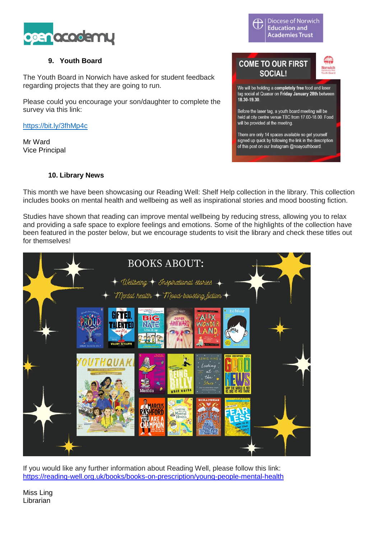

# **9. Youth Board**

The Youth Board in Norwich have asked for student feedback regarding projects that they are going to run.

Please could you encourage your son/daughter to complete the survey via this link:

<https://bit.ly/3fhMp4c>

Mr Ward Vice Principal

Diocese of Norwich Ħ **Education and Academies Trust** 

# **COME TO OUR FIRST SOCIAL!**



We will be holding a completely free food and laser tag social at Quasar on Friday January 28th between 18 30-19 30

Before the laser tag, a youth board meeting will be held at city centre venue TBC from 17,00-18,00. Food will be provided at the meeting.

There are only 14 spaces available so get yourself signed up quick by following the link in the description of this post on our Instagram @noayouthboard.

# **10. Library News**

This month we have been showcasing our Reading Well: Shelf Help collection in the library. This collection includes books on mental health and wellbeing as well as inspirational stories and mood boosting fiction.

Studies have shown that reading can improve mental wellbeing by reducing stress, allowing you to relax and providing a safe space to explore feelings and emotions. Some of the highlights of the collection have been featured in the poster below, but we encourage students to visit the library and check these titles out for themselves!



If you would like any further information about Reading Well, please follow this link: <https://reading-well.org.uk/books/books-on-prescription/young-people-mental-health>

Miss Ling Librarian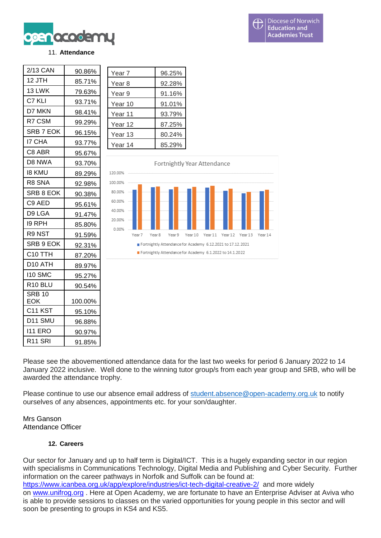

#### 11. **Attendance**

| 12 JTH<br>13 LWK    | 85.71%  |
|---------------------|---------|
|                     |         |
|                     | 79.63%  |
| C7 KLI              | 93.71%  |
| D7 MKN              | 98.41%  |
| R7 CSM              | 99.29%  |
| SRB 7 EOK           | 96.15%  |
| <b>I7 CHA</b>       | 93.77%  |
| C8 ABR              | 95.67%  |
| D8 NWA              | 93.70%  |
| <b>18 KMU</b>       | 89.29%  |
| R8 SNA              | 92.98%  |
| SRB 8 EOK           | 90.38%  |
| C9 AED              | 95.61%  |
| D9 LGA              | 91.47%  |
| 19 RPH              | 85.80%  |
| R9 NST              | 91.59%  |
| SRB 9 EOK           | 92.31%  |
| C <sub>10</sub> TTH | 87.20%  |
| D10 ATH             | 89.97%  |
| 110 SMC             | 95.27%  |
| R <sub>10</sub> BLU | 90.54%  |
| <b>SRB 10</b>       |         |
| EOK                 | 100.00% |
| C <sub>11</sub> KST | 95.10%  |
| D11 SMU             | 96.88%  |
| <b>I11 ERO</b>      | 90.97%  |
| R <sub>11</sub> SRI | 91.85%  |

| Year <sub>7</sub> | 96.25% |
|-------------------|--------|
| Year 8            | 92.28% |
| Year 9            | 91.16% |
| Year 10           | 91.01% |
| Year 11           | 93.79% |
| Year 12           | 87.25% |
| Year 13           | 80.24% |
| Year 14           | 85.29% |



Please see the abovementioned attendance data for the last two weeks for period 6 January 2022 to 14 January 2022 inclusive. Well done to the winning tutor group/s from each year group and SRB, who will be awarded the attendance trophy.

Please continue to use our absence email address of [student.absence@open-academy.org.uk](mailto:student.absence@open-academy.org.uk) to notify ourselves of any absences, appointments etc. for your son/daughter.

Mrs Ganson Attendance Officer

# **12. Careers**

Our sector for January and up to half term is Digital/ICT. This is a hugely expanding sector in our region with specialisms in Communications Technology, Digital Media and Publishing and Cyber Security. Further information on the career pathways in Norfolk and Suffolk can be found at: <https://www.icanbea.org.uk/app/explore/industries/ict-tech-digital-creative-2/>and more widely on [www.unifrog.org](http://www.unifrog.org/) . Here at Open Academy, we are fortunate to have an Enterprise Adviser at Aviva who is able to provide sessions to classes on the varied opportunities for young people in this sector and will soon be presenting to groups in KS4 and KS5.